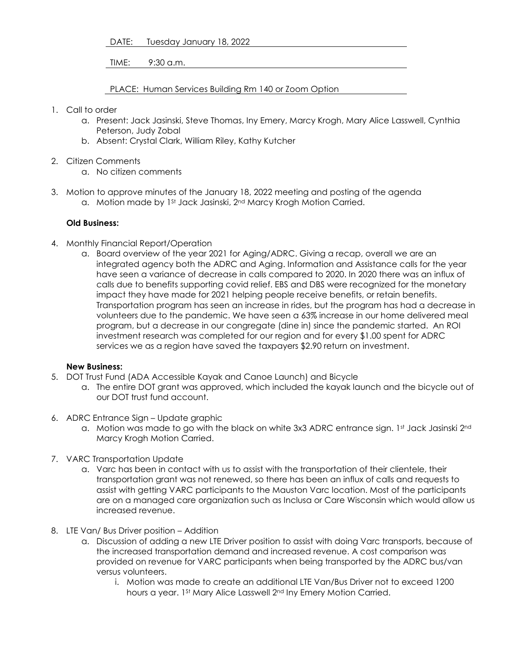DATE: Tuesday January 18, 2022

TIME: 9:30 a.m.

PLACE: Human Services Building Rm 140 or Zoom Option

- 1. Call to order
	- a. Present: Jack Jasinski, Steve Thomas, Iny Emery, Marcy Krogh, Mary Alice Lasswell, Cynthia Peterson, Judy Zobal
	- b. Absent: Crystal Clark, William Riley, Kathy Kutcher
- 2. Citizen Comments
	- a. No citizen comments
- 3. Motion to approve minutes of the January 18, 2022 meeting and posting of the agenda a. Motion made by 1<sup>st</sup> Jack Jasinski, 2<sup>nd</sup> Marcy Krogh Motion Carried.

## **Old Business:**

- 4. Monthly Financial Report/Operation
	- a. Board overview of the year 2021 for Aging/ADRC. Giving a recap, overall we are an integrated agency both the ADRC and Aging. Information and Assistance calls for the year have seen a variance of decrease in calls compared to 2020. In 2020 there was an influx of calls due to benefits supporting covid relief. EBS and DBS were recognized for the monetary impact they have made for 2021 helping people receive benefits, or retain benefits. Transportation program has seen an increase in rides, but the program has had a decrease in volunteers due to the pandemic. We have seen a 63% increase in our home delivered meal program, but a decrease in our congregate (dine in) since the pandemic started. An ROI investment research was completed for our region and for every \$1.00 spent for ADRC services we as a region have saved the taxpayers \$2.90 return on investment.

## **New Business:**

- 5. DOT Trust Fund (ADA Accessible Kayak and Canoe Launch) and Bicycle
	- a. The entire DOT grant was approved, which included the kayak launch and the bicycle out of our DOT trust fund account.
- 6. ADRC Entrance Sign Update graphic
	- a. Motion was made to go with the black on white 3x3 ADRC entrance sign. 1st Jack Jasinski 2nd Marcy Krogh Motion Carried.
- 7. VARC Transportation Update
	- a. Varc has been in contact with us to assist with the transportation of their clientele, their transportation grant was not renewed, so there has been an influx of calls and requests to assist with getting VARC participants to the Mauston Varc location. Most of the participants are on a managed care organization such as Inclusa or Care Wisconsin which would allow us increased revenue.
- 8. LTE Van/ Bus Driver position Addition
	- a. Discussion of adding a new LTE Driver position to assist with doing Varc transports, because of the increased transportation demand and increased revenue. A cost comparison was provided on revenue for VARC participants when being transported by the ADRC bus/van versus volunteers.
		- i. Motion was made to create an additional LTE Van/Bus Driver not to exceed 1200 hours a year. 1<sup>st</sup> Mary Alice Lasswell 2<sup>nd</sup> Iny Emery Motion Carried.